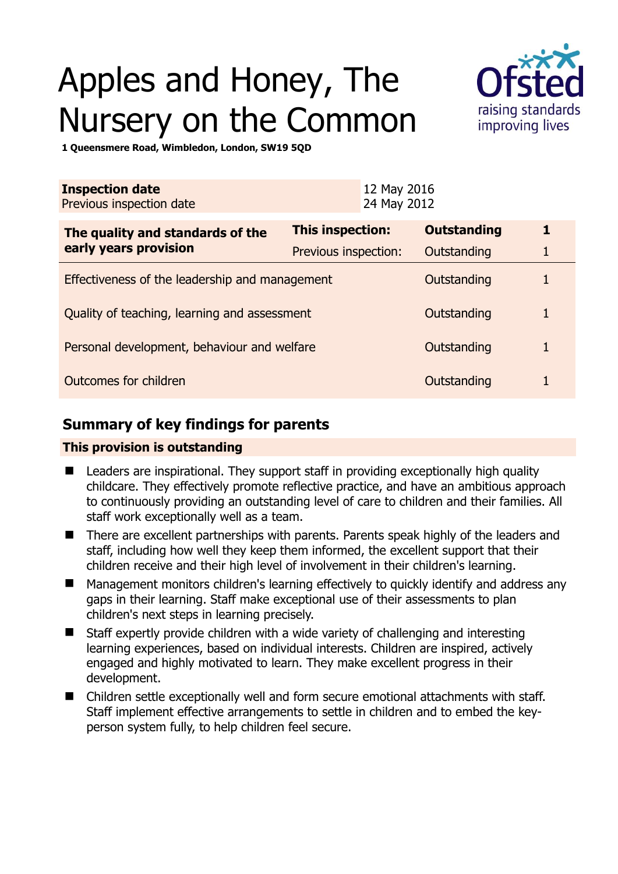# Apples and Honey, The Nursery on the Common



**1 Queensmere Road, Wimbledon, London, SW19 5QD** 

| <b>Inspection date</b><br>Previous inspection date        |                      | 12 May 2016<br>24 May 2012 |                    |   |
|-----------------------------------------------------------|----------------------|----------------------------|--------------------|---|
| The quality and standards of the<br>early years provision | This inspection:     |                            | <b>Outstanding</b> | 1 |
|                                                           | Previous inspection: |                            | Outstanding        | 1 |
| Effectiveness of the leadership and management            |                      |                            | Outstanding        |   |
| Quality of teaching, learning and assessment              |                      |                            | Outstanding        | 1 |
| Personal development, behaviour and welfare               |                      |                            | Outstanding        | 1 |
| Outcomes for children                                     |                      |                            | Outstanding        |   |

# **Summary of key findings for parents**

### **This provision is outstanding**

- Leaders are inspirational. They support staff in providing exceptionally high quality childcare. They effectively promote reflective practice, and have an ambitious approach to continuously providing an outstanding level of care to children and their families. All staff work exceptionally well as a team.
- There are excellent partnerships with parents. Parents speak highly of the leaders and staff, including how well they keep them informed, the excellent support that their children receive and their high level of involvement in their children's learning.
- Management monitors children's learning effectively to quickly identify and address any gaps in their learning. Staff make exceptional use of their assessments to plan children's next steps in learning precisely.
- Staff expertly provide children with a wide variety of challenging and interesting learning experiences, based on individual interests. Children are inspired, actively engaged and highly motivated to learn. They make excellent progress in their development.
- Children settle exceptionally well and form secure emotional attachments with staff. Staff implement effective arrangements to settle in children and to embed the keyperson system fully, to help children feel secure.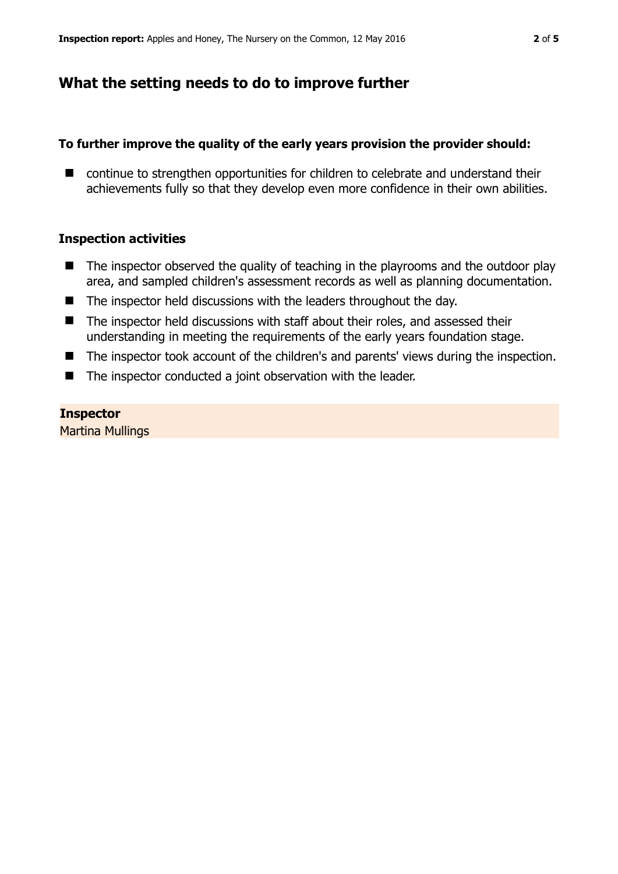# **What the setting needs to do to improve further**

## **To further improve the quality of the early years provision the provider should:**

■ continue to strengthen opportunities for children to celebrate and understand their achievements fully so that they develop even more confidence in their own abilities.

## **Inspection activities**

- $\blacksquare$  The inspector observed the quality of teaching in the playrooms and the outdoor play area, and sampled children's assessment records as well as planning documentation.
- The inspector held discussions with the leaders throughout the day.
- The inspector held discussions with staff about their roles, and assessed their understanding in meeting the requirements of the early years foundation stage.
- The inspector took account of the children's and parents' views during the inspection.
- The inspector conducted a joint observation with the leader.

## **Inspector**

Martina Mullings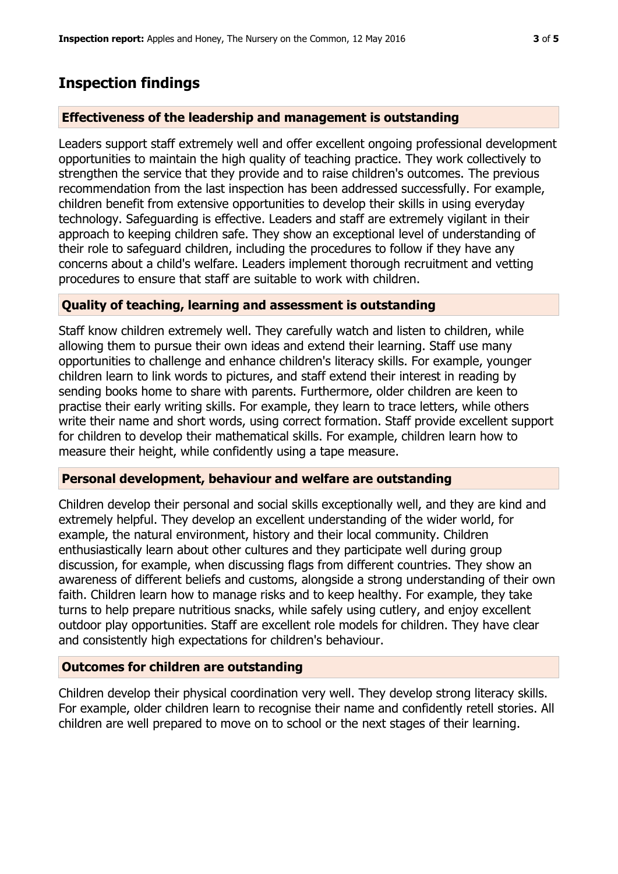# **Inspection findings**

### **Effectiveness of the leadership and management is outstanding**

Leaders support staff extremely well and offer excellent ongoing professional development opportunities to maintain the high quality of teaching practice. They work collectively to strengthen the service that they provide and to raise children's outcomes. The previous recommendation from the last inspection has been addressed successfully. For example, children benefit from extensive opportunities to develop their skills in using everyday technology. Safeguarding is effective. Leaders and staff are extremely vigilant in their approach to keeping children safe. They show an exceptional level of understanding of their role to safeguard children, including the procedures to follow if they have any concerns about a child's welfare. Leaders implement thorough recruitment and vetting procedures to ensure that staff are suitable to work with children.

### **Quality of teaching, learning and assessment is outstanding**

Staff know children extremely well. They carefully watch and listen to children, while allowing them to pursue their own ideas and extend their learning. Staff use many opportunities to challenge and enhance children's literacy skills. For example, younger children learn to link words to pictures, and staff extend their interest in reading by sending books home to share with parents. Furthermore, older children are keen to practise their early writing skills. For example, they learn to trace letters, while others write their name and short words, using correct formation. Staff provide excellent support for children to develop their mathematical skills. For example, children learn how to measure their height, while confidently using a tape measure.

### **Personal development, behaviour and welfare are outstanding**

Children develop their personal and social skills exceptionally well, and they are kind and extremely helpful. They develop an excellent understanding of the wider world, for example, the natural environment, history and their local community. Children enthusiastically learn about other cultures and they participate well during group discussion, for example, when discussing flags from different countries. They show an awareness of different beliefs and customs, alongside a strong understanding of their own faith. Children learn how to manage risks and to keep healthy. For example, they take turns to help prepare nutritious snacks, while safely using cutlery, and enjoy excellent outdoor play opportunities. Staff are excellent role models for children. They have clear and consistently high expectations for children's behaviour.

### **Outcomes for children are outstanding**

Children develop their physical coordination very well. They develop strong literacy skills. For example, older children learn to recognise their name and confidently retell stories. All children are well prepared to move on to school or the next stages of their learning.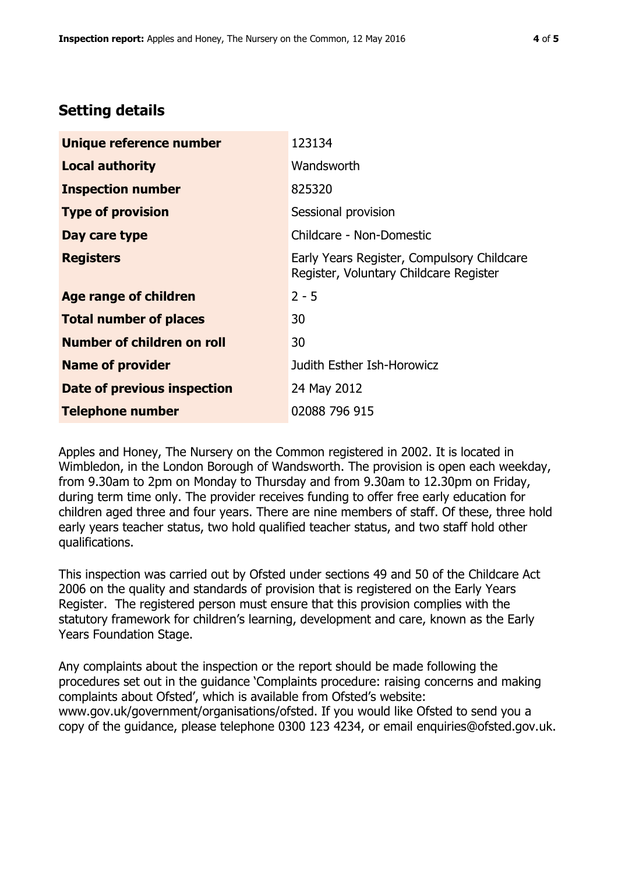# **Setting details**

| Unique reference number       | 123134                                                                               |  |
|-------------------------------|--------------------------------------------------------------------------------------|--|
| <b>Local authority</b>        | Wandsworth                                                                           |  |
| <b>Inspection number</b>      | 825320                                                                               |  |
| <b>Type of provision</b>      | Sessional provision                                                                  |  |
| Day care type                 | Childcare - Non-Domestic                                                             |  |
| <b>Registers</b>              | Early Years Register, Compulsory Childcare<br>Register, Voluntary Childcare Register |  |
| <b>Age range of children</b>  | $2 - 5$                                                                              |  |
| <b>Total number of places</b> | 30                                                                                   |  |
| Number of children on roll    | 30                                                                                   |  |
| <b>Name of provider</b>       | Judith Esther Ish-Horowicz                                                           |  |
| Date of previous inspection   | 24 May 2012                                                                          |  |
| <b>Telephone number</b>       | 02088 796 915                                                                        |  |

Apples and Honey, The Nursery on the Common registered in 2002. It is located in Wimbledon, in the London Borough of Wandsworth. The provision is open each weekday, from 9.30am to 2pm on Monday to Thursday and from 9.30am to 12.30pm on Friday, during term time only. The provider receives funding to offer free early education for children aged three and four years. There are nine members of staff. Of these, three hold early years teacher status, two hold qualified teacher status, and two staff hold other qualifications.

This inspection was carried out by Ofsted under sections 49 and 50 of the Childcare Act 2006 on the quality and standards of provision that is registered on the Early Years Register. The registered person must ensure that this provision complies with the statutory framework for children's learning, development and care, known as the Early Years Foundation Stage.

Any complaints about the inspection or the report should be made following the procedures set out in the guidance 'Complaints procedure: raising concerns and making complaints about Ofsted', which is available from Ofsted's website: www.gov.uk/government/organisations/ofsted. If you would like Ofsted to send you a copy of the guidance, please telephone 0300 123 4234, or email enquiries@ofsted.gov.uk.